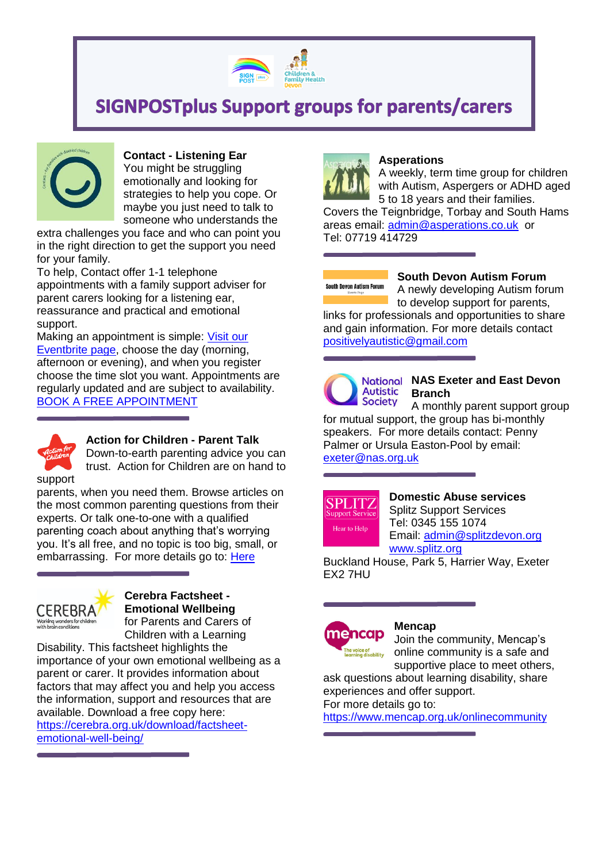

# **SIGNPOSTplus Support groups for parents/carers**



# **Contact - Listening Ear**

You might be struggling emotionally and looking for strategies to help you cope. Or maybe you just need to talk to someone who understands the

extra challenges you face and who can point you in the right direction to get the support you need for your family.

To help, Contact offer 1-1 telephone appointments with a family support adviser for parent carers looking for a listening ear, reassurance and practical and emotional support.

Making an appointment is simple: [Visit our](https://www.eventbrite.co.uk/o/contact-for-families-with-disabled-children-30452924652)  [Eventbrite page,](https://www.eventbrite.co.uk/o/contact-for-families-with-disabled-children-30452924652) choose the day (morning, afternoon or evening), and when you register choose the time slot you want. Appointments are regularly updated and are subject to availability. [BOOK A FREE APPOINTMENT](https://www.eventbrite.co.uk/o/contact-for-families-with-disabled-children-30452924652)



#### **Action for Children - Parent Talk**

Down-to-earth parenting advice you can trust. Action for Children are on hand to

parents, when you need them. Browse articles on the most common parenting questions from their experts. Or talk one-to-one with a qualified parenting coach about anything that's worrying you. It's all free, and no topic is too big, small, or embarrassing. For more details go to: [Here](https://parents.actionforchildren.org.uk/?utm_source=FB&utm_medium=paidsocial&utm_campaign=X20XXXDIP&utm_content=parenttalk-talkchatusers-ll&fbclid=IwAR1qUL1F2bFIlZNiq4zMVN8ar9hPYaXK1p7a_otg1VkWF3VlVtv3kVc1yeA%20)



# **Cerebra Factsheet - Emotional Wellbeing** for Parents and Carers of

Children with a Learning Disability. This factsheet highlights the importance of your own emotional wellbeing as a parent or carer. It provides information about

factors that may affect you and help you access the information, support and resources that are available. Download a free copy here: [https://cerebra.org.uk/download/factsheet](https://cerebra.org.uk/download/factsheet-emotional-well-being/)[emotional-well-being/](https://cerebra.org.uk/download/factsheet-emotional-well-being/)



#### **Asperations**

A weekly, term time group for children with Autism, Aspergers or ADHD aged 5 to 18 years and their families.

Covers the Teignbridge, Torbay and South Hams areas email: [admin@asperations.co.uk](mailto:admin@asperations.co.uk) or Tel: 07719 414729

# **South Devon Autism Forum**

#### **South Devon Autism Forum**

A newly developing Autism forum to develop support for parents,

links for professionals and opportunities to share and gain information. For more details contact [positivelyautistic@gmail.com](mailto:positivelyautistic@gmail.com)



### **National NAS Exeter and East Devon Branch**

A monthly parent support group for mutual support, the group has bi-monthly speakers. For more details contact: Penny Palmer or Ursula Easton-Pool by email: [exeter@nas.org.uk](mailto:exeter@nas.org.uk)



#### **Domestic Abuse services** Splitz Support Services

Tel: 0345 155 1074 Email: [admin@splitzdevon.org](mailto:admin@splitzdevon.org) [www.splitz.org](http://www.splitz.org/)

Buckland House, Park 5, Harrier Way, Exeter EX2 7HU



#### **Mencap**

Join the community, Mencap's online community is a safe and supportive place to meet others,

ask questions about learning disability, share experiences and offer support.

For more details go to:

<https://www.mencap.org.uk/onlinecommunity>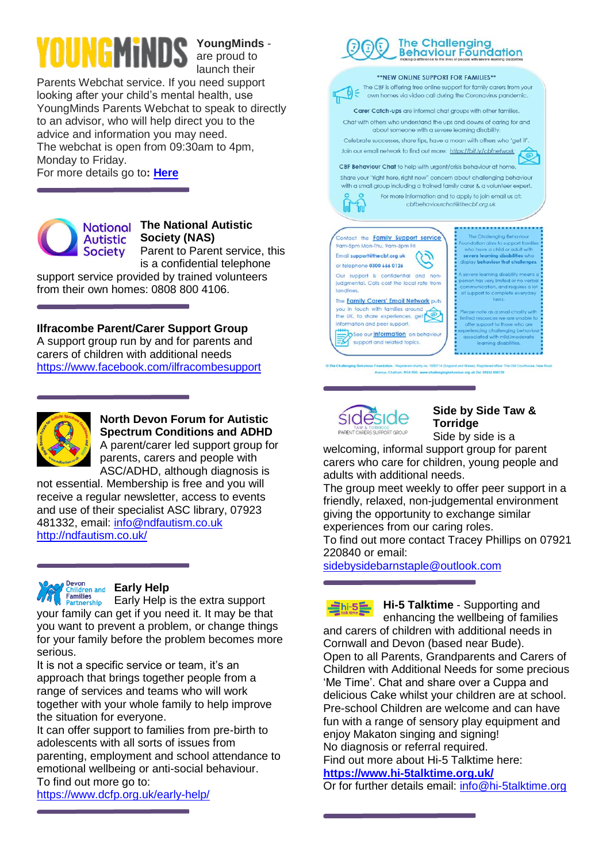**YoungMinds** are proud to

launch their Parents Webchat service. If you need support looking after your child's mental health, use YoungMinds Parents Webchat to speak to directly to an advisor, who will help direct you to the advice and information you may need. The webchat is open from 09:30am to 4pm, Monday to Friday.

For more details go to**: [Here](https://youngminds.org.uk/find-help/for-parents/parents-helpline/?fbclid=IwAR3bDB5Z9XM7cVuE5ZlwoMsQU6Tyk91sx1envnvIHS6Xef9OJWv0MKK5b_4%20)**



## **The National Autistic Society (NAS)**

Parent to Parent service, this is a confidential telephone support service provided by trained volunteers from their own homes: 0808 800 4106.

**Ilfracombe Parent/Carer Support Group**  A support group run by and for parents and carers of children with additional needs <https://www.facebook.com/ilfracombesupport>



**North Devon Forum for Autistic Spectrum Conditions and ADHD**  A parent/carer led support group for parents, carers and people with

ASC/ADHD, although diagnosis is not essential. Membership is free and you will receive a regular newsletter, access to events and use of their specialist ASC library, 07923 481332, email: [info@ndfautism.co.uk](mailto:info@ndfautism.co.uk) <http://ndfautism.co.uk/>



### **Example 2018 Early Help**

miles Early Help is the extra support your family can get if you need it. It may be that you want to prevent a problem, or change things for your family before the problem becomes more serious.

It is not a specific service or team, it's an approach that brings together people from a range of services and teams who will work together with your whole family to help improve the situation for everyone.

It can offer support to families from pre-birth to adolescents with all sorts of issues from parenting, employment and school attendance to emotional wellbeing or anti-social behaviour. To find out more go to:

<https://www.dcfp.org.uk/early-help/>





### **Side by Side Taw & Torridge**

Side by side is a welcoming, informal support group for parent carers who care for children, young people and adults with additional needs.

The group meet weekly to offer peer support in a friendly, relaxed, non-judgemental environment giving the opportunity to exchange similar experiences from our caring roles. To find out more contact Tracey Phillips on 07921

220840 or email:

[sidebysidebarnstaple@outlook.com](mailto:sidebysidebarnstaple@outlook.com)

**Hi-5 Talktime** - Supporting and  $\Xi$ hi-5 $\Xi$ enhancing the wellbeing of families and carers of children with additional needs in Cornwall and Devon (based near Bude). Open to all Parents, Grandparents and Carers of Children with Additional Needs for some precious 'Me Time'. Chat and share over a Cuppa and delicious Cake whilst your children are at school. Pre-school Children are welcome and can have fun with a range of sensory play equipment and enjoy Makaton singing and signing! No diagnosis or referral required.

Find out more about Hi-5 Talktime here: **<https://www.hi-5talktime.org.uk/>**

Or for further details email: [info@hi-5talktime.org](mailto:info@hi-5talktime.org)